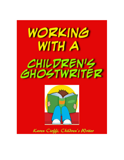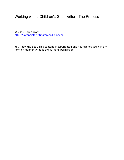# Working with a Children's Ghostwriter - The Process

© 2016 Karen Cioffi http://karencioffiwritingforchildren.com

You know the deal. This content is copyrighted and you cannot use it in any form or manner without the author's permission.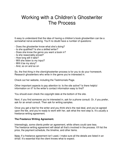# Working with a Children's Ghostwriter The Process

It easy to understand that the idea of having a children's book ghostwritten can be a somewhat nerve-wrecking. You'll no doubt have a number of questions:

- Does the ghostwriter know what she's doing?
- Is she qualified? Is she a skilled writer?
- Does she know the genre you want a book in?
- Is she reasonably priced?
- How long will it take?
- Will she listen to my input?
- Will it be my story?
- And, so on and so on

So, the first thing in the client/ghostwriter process is for you to do your homework. Research ghostwriters who write in the genre you're interested in.

Check out her website, including the Testimonials Page.

Other important aspects to pay attention to: Is the site active? Is there helpful information on it? Is the writer's contact information easy to find?

You should even check the copyright date at the bottom of the site.

Next, if you find someone you're interested in, ask for a phone consult. Or, if you prefer, ask for an email consult. Then ask for writing samples.

Once you get a feel for the writer and you think she's the real deal, and you've agreed upon the fee, and you're ready to work with her, ask what the next step is. It's usually a freelance writing agreement.

# **The Freelance Writing Agreement.**

Interestingly, some clients prefer an agreement, while others could care less. The freelance writing agreement will detail all that's involved in the process. It'll list the price, the payment schedule, the timeline, and other items.

Note: If a freelance agreement isn't used, I make sure all the details are listed in an email. It's essential that the client knows what to expect.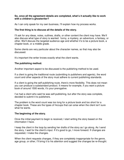### **So, once all the agreement details are completed, what's it actually like to work with a children's ghostwriter?**

As I can only speak for my own business, I'll explain how my process works.

## **The first thing is to discuss all the details of the story.**

I'll ask for any ideas, notes, outlines, drafts, or other content the client may have. We'll also discuss what type of story is wanted: funny, a mystery, an adventure, a fantasy, or other. We'll discuss the targeted audience age and whether it's to be a picture book, a chapter book, or a middle grade.

Some clients are very particular about the character names, so that may also be discussed.

It's important the writer knows exactly what the client wants.

# **The publishing method.**

Another important aspect to be discussed is the publishing method to be used.

If a client is going the traditional route (submitting to publishers and agents), the word count and other aspects of the story must adhere to current publishing standards.

If a client is going the self-publishing route, there's more flexibility. This does not mean you can produce a substandard product. It means for example, if you want a picture book of around 1500 words, it's your prerogative.

I've had a client who said he was self-publishing, but after the story was complete, decided to submit it to publishers.

The problem is the word count was too long for a picture book and too short for a chapter book. These are the types of hiccups that can arise when the client isn't sure what he wants.

# **The beginning of the story.**

Once the initial payment to begin is received, I start writing the story based on the information I have.

I keep the client in the loop by sending her drafts of the story as I go along. As I send the story, I wait for the client's input. If it's good to go, I move forward. If changes are requested, I make the changes.

When the client requests changes, if they are completely inappropriate for the genre, age group, or other, I'll bring it to his attention and suggest the changes be re-thought.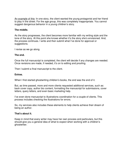An example of this: In one story, the client wanted the young protagonist and her friend to play in the street. For the age group, this was completely inappropriate. You cannot suggest dangerous behavior in a young children's story.

### **The middle.**

As the story progresses, the client becomes more familiar with my writing style and the tone of the story. At this point she knows whether it's the story she's envisioned. And, the process continues. I write and then submit what I've done for approval or suggestions.

I revise as we go along.

### **The end.**

Once the full manuscript is completed, the client will decide if any changes are needed. Once revisions are made, if needed, it's on to editing and proofing.

Then I submit a final manuscript to the client.

### **Extras.**

When I first started ghostwriting children's books, the end was the end of it.

But, as time passed, more and more clients requested additional services, such as: back cover copy, author bio content, formatting the manuscript for submissions, cover letters, query letters, and even basic marketing help.

I've even done manuscript to illustrations coordination for a couple of clients. This process includes checking the illustrations for errors.

So, my services also includes these elements to help clients achieve their dream of being an author.

### **That's about it.**

Keep in mind that every writer may have her own process and particulars, but this should give you a general idea of what to expect when working with a children's ghostwriter.